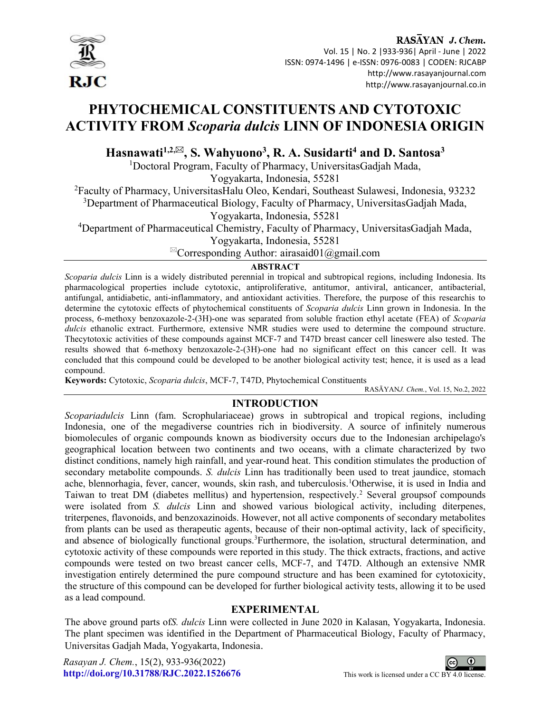

RASAYAN J. Chem.

 Vol. 15 | No. 2 |933-936| April - June | 2022 ISSN: 0974-1496 | e-ISSN: 0976-0083 | CODEN: RJCABP http://www.rasayanjournal.com http://www.rasayanjournal.co.in

# PHYTOCHEMICAL CONSTITUENTS AND CYTOTOXIC ACTIVITY FROM Scoparia dulcis LINN OF INDONESIA ORIGIN

Hasnawati<sup>1,2, $\boxtimes$ </sup>, S. Wahyuono<sup>3</sup>, R. A. Susidarti<sup>4</sup> and D. Santosa<sup>3</sup>

<sup>1</sup>Doctoral Program, Faculty of Pharmacy, UniversitasGadjah Mada,

Yogyakarta, Indonesia, 55281

<sup>2</sup>Faculty of Pharmacy, UniversitasHalu Oleo, Kendari, Southeast Sulawesi, Indonesia, 93232

<sup>3</sup>Department of Pharmaceutical Biology, Faculty of Pharmacy, UniversitasGadjah Mada,

Yogyakarta, Indonesia, 55281

<sup>4</sup>Department of Pharmaceutical Chemistry, Faculty of Pharmacy, UniversitasGadjah Mada,

Yogyakarta, Indonesia, 55281

 $^{\boxtimes}$ Corresponding Author: airasaid01@gmail.com

## ABSTRACT

Scoparia dulcis Linn is a widely distributed perennial in tropical and subtropical regions, including Indonesia. Its pharmacological properties include cytotoxic, antiproliferative, antitumor, antiviral, anticancer, antibacterial, antifungal, antidiabetic, anti-inflammatory, and antioxidant activities. Therefore, the purpose of this researchis to determine the cytotoxic effects of phytochemical constituents of *Scoparia dulcis* Linn grown in Indonesia. In the process, 6-methoxy benzoxazole-2-(3H)-one was separated from soluble fraction ethyl acetate (FEA) of Scoparia dulcis ethanolic extract. Furthermore, extensive NMR studies were used to determine the compound structure. Thecytotoxic activities of these compounds against MCF-7 and T47D breast cancer cell lineswere also tested. The results showed that 6-methoxy benzoxazole-2-(3H)-one had no significant effect on this cancer cell. It was concluded that this compound could be developed to be another biological activity test; hence, it is used as a lead compound.

Keywords: Cytotoxic, Scoparia dulcis, MCF-7, T47D, Phytochemical Constituents

RASĀYANJ. Chem., Vol. 15, No.2, 2022

# INTRODUCTION

Scopariadulcis Linn (fam. Scrophulariaceae) grows in subtropical and tropical regions, including Indonesia, one of the megadiverse countries rich in biodiversity. A source of infinitely numerous biomolecules of organic compounds known as biodiversity occurs due to the Indonesian archipelago's geographical location between two continents and two oceans, with a climate characterized by two distinct conditions, namely high rainfall, and year-round heat. This condition stimulates the production of secondary metabolite compounds. S. *dulcis* Linn has traditionally been used to treat jaundice, stomach ache, blennorhagia, fever, cancer, wounds, skin rash, and tuberculosis.<sup>1</sup>Otherwise, it is used in India and Taiwan to treat DM (diabetes mellitus) and hypertension, respectively.<sup>2</sup> Several groupsof compounds were isolated from S. *dulcis* Linn and showed various biological activity, including diterpenes, triterpenes, flavonoids, and benzoxazinoids. However, not all active components of secondary metabolites from plants can be used as therapeutic agents, because of their non-optimal activity, lack of specificity, and absence of biologically functional groups.<sup>3</sup>Furthermore, the isolation, structural determination, and cytotoxic activity of these compounds were reported in this study. The thick extracts, fractions, and active compounds were tested on two breast cancer cells, MCF-7, and T47D. Although an extensive NMR investigation entirely determined the pure compound structure and has been examined for cytotoxicity, the structure of this compound can be developed for further biological activity tests, allowing it to be used as a lead compound.

## EXPERIMENTAL

The above ground parts ofS. dulcis Linn were collected in June 2020 in Kalasan, Yogyakarta, Indonesia. The plant specimen was identified in the Department of Pharmaceutical Biology, Faculty of Pharmacy, Universitas Gadjah Mada, Yogyakarta, Indonesia.

Rasayan J. Chem., 15(2), 933-936(2022) http://doi.org/10.31788/RJC.2022.1526676 This work is licensed under a CC BY 4.0 license.

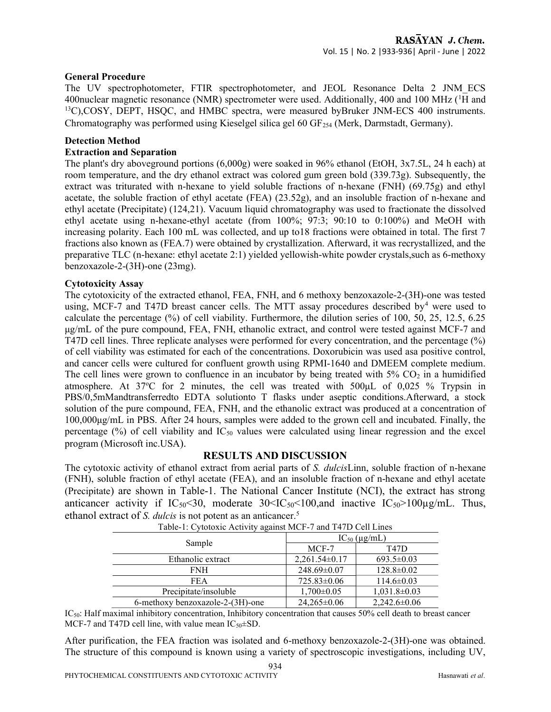#### General Procedure

The UV spectrophotometer, FTIR spectrophotometer, and JEOL Resonance Delta 2 JNM\_ECS 400 nuclear magnetic resonance (NMR) spectrometer were used. Additionally, 400 and 100 MHz ( ${}^{1}\overline{H}$  and <sup>13</sup>C),COSY, DEPT, HSOC, and HMBC spectra, were measured byBruker JNM-ECS 400 instruments. Chromatography was performed using Kieselgel silica gel 60 GF<sub>254</sub> (Merk, Darmstadt, Germany).

#### Detection Method

#### Extraction and Separation

The plant's dry aboveground portions (6,000g) were soaked in 96% ethanol (EtOH, 3x7.5L, 24 h each) at room temperature, and the dry ethanol extract was colored gum green bold (339.73g). Subsequently, the extract was triturated with n-hexane to yield soluble fractions of n-hexane (FNH) (69.75g) and ethyl acetate, the soluble fraction of ethyl acetate (FEA) (23.52g), and an insoluble fraction of n-hexane and ethyl acetate (Precipitate) (124,21). Vacuum liquid chromatography was used to fractionate the dissolved ethyl acetate using n-hexane-ethyl acetate (from 100%; 97:3; 90:10 to 0:100%) and MeOH with increasing polarity. Each 100 mL was collected, and up to18 fractions were obtained in total. The first 7 fractions also known as (FEA.7) were obtained by crystallization. Afterward, it was recrystallized, and the preparative TLC (n-hexane: ethyl acetate 2:1) yielded yellowish-white powder crystals,such as 6-methoxy benzoxazole-2-(3H)-one (23mg).

#### Cytotoxicity Assay

The cytotoxicity of the extracted ethanol, FEA, FNH, and 6 methoxy benzoxazole-2-(3H)-one was tested using, MCF-7 and T47D breast cancer cells. The MTT assay procedures described by<sup>4</sup> were used to calculate the percentage (%) of cell viability. Furthermore, the dilution series of 100, 50, 25, 12.5, 6.25 μg/mL of the pure compound, FEA, FNH, ethanolic extract, and control were tested against MCF-7 and T47D cell lines. Three replicate analyses were performed for every concentration, and the percentage (%) of cell viability was estimated for each of the concentrations. Doxorubicin was used asa positive control, and cancer cells were cultured for confluent growth using RPMI-1640 and DMEEM complete medium. The cell lines were grown to confluence in an incubator by being treated with  $5\%$  CO<sub>2</sub> in a humidified atmosphere. At  $37^{\circ}$ C for 2 minutes, the cell was treated with  $500 \mu$ L of 0,025 % Trypsin in PBS/0,5mMandtransferredto EDTA solutionto T flasks under aseptic conditions.Afterward, a stock solution of the pure compound, FEA, FNH, and the ethanolic extract was produced at a concentration of 100,000μg/mL in PBS. After 24 hours, samples were added to the grown cell and incubated. Finally, the percentage  $(\%)$  of cell viability and  $IC_{50}$  values were calculated using linear regression and the excel program (Microsoft inc.USA).

#### RESULTS AND DISCUSSION

The cytotoxic activity of ethanol extract from aerial parts of S. *dulcis*Linn, soluble fraction of n-hexane (FNH), soluble fraction of ethyl acetate (FEA), and an insoluble fraction of n-hexane and ethyl acetate (Precipitate) are shown in Table-1. The National Cancer Institute (NCI), the extract has strong anticancer activity if  $IC_{50} < 30$ , moderate  $30 < IC_{50} < 100$ , and inactive  $IC_{50} > 100 \mu g/mL$ . Thus, ethanol extract of S. dulcis is not potent as an anticancer.<sup>5</sup>

| Sample                           | $IC_{50}$ ( $\mu$ g/mL) |                    |
|----------------------------------|-------------------------|--------------------|
|                                  | MCF-7                   | T47D               |
| Ethanolic extract                | $2,261.54\pm0.17$       | $693.5 \pm 0.03$   |
| <b>FNH</b>                       | 248.69±0.07             | $128.8 \pm 0.02$   |
| <b>FEA</b>                       | $725.83 \pm 0.06$       | $114.6 \pm 0.03$   |
| Precipitate/insoluble            | $1,700 \pm 0.05$        | $1,031.8\pm0.03$   |
| 6-methoxy benzoxazole-2-(3H)-one | $24,265 \pm 0.06$       | $2,242.6 \pm 0.06$ |

IC<sub>50</sub>: Half maximal inhibitory concentration, Inhibitory concentration that causes 50% cell death to breast cancer MCF-7 and T47D cell line, with value mean  $IC_{50} \pm SD$ .

After purification, the FEA fraction was isolated and 6-methoxy benzoxazole-2-(3H)-one was obtained. The structure of this compound is known using a variety of spectroscopic investigations, including UV,

934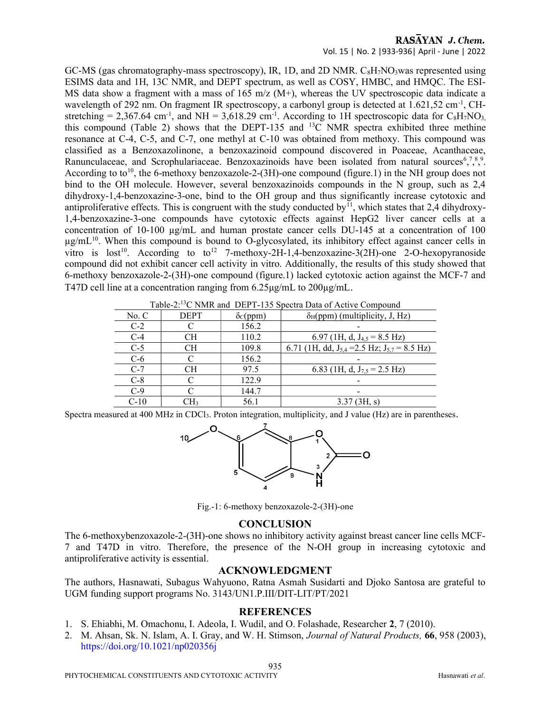# RASAYAN J. Chem.

Vol. 15 | No. 2 |933-936| April - June | 2022

GC-MS (gas chromatography-mass spectroscopy), IR, 1D, and 2D NMR.  $C_8H_7NO_3$  was represented using ESIMS data and 1H, 13C NMR, and DEPT spectrum, as well as COSY, HMBC, and HMQC. The ESI-MS data show a fragment with a mass of 165 m/z ( $M+$ ), whereas the UV spectroscopic data indicate a wavelength of 292 nm. On fragment IR spectroscopy, a carbonyl group is detected at  $1.621,52$  cm<sup>-1</sup>, CHstretching = 2,367.64 cm<sup>-1</sup>, and NH = 3,618.29 cm<sup>-1</sup>. According to 1H spectroscopic data for C<sub>8</sub>H<sub>7</sub>NO<sub>3</sub>, this compound (Table 2) shows that the DEPT-135 and  $^{13}$ C NMR spectra exhibited three methine resonance at C-4, C-5, and C-7, one methyl at C-10 was obtained from methoxy. This compound was classified as a Benzoxazolinone, a benzoxazinoid compound discovered in Poaceae, Acanthaceae, Ranunculaceae, and Scrophulariaceae. Benzoxazinoids have been isolated from natural sources  $5,3,8,9$ . According to to<sup>10</sup>, the 6-methoxy benzoxazole-2-(3H)-one compound (figure.1) in the NH group does not bind to the OH molecule. However, several benzoxazinoids compounds in the N group, such as 2,4 dihydroxy-1,4-benzoxazine-3-one, bind to the OH group and thus significantly increase cytotoxic and antiproliferative effects. This is congruent with the study conducted by<sup>11</sup>, which states that 2,4 dihydroxy-1,4-benzoxazine-3-one compounds have cytotoxic effects against HepG2 liver cancer cells at a concentration of 10-100 µg/mL and human prostate cancer cells DU-145 at a concentration of 100  $\mu$ g/mL<sup>10</sup>. When this compound is bound to O-glycosylated, its inhibitory effect against cancer cells in vitro is  $lost^{10}$ . According to  $to^{12}$  7-methoxy-2H-1,4-benzoxazine-3(2H)-one 2-O-hexopyranoside compound did not exhibit cancer cell activity in vitro. Additionally, the results of this study showed that 6-methoxy benzoxazole-2-(3H)-one compound (figure.1) lacked cytotoxic action against the MCF-7 and T47D cell line at a concentration ranging from 6.25μg/mL to 200µg/mL.

| Table-2: <sup>15</sup> C NMR and DEPT-135 Spectra Data of Active Compound |             |                       |                                                       |  |
|---------------------------------------------------------------------------|-------------|-----------------------|-------------------------------------------------------|--|
| No. C                                                                     | <b>DEPT</b> | $\delta_{\rm C}(ppm)$ | $\delta_H$ (ppm) (multiplicity, J, Hz)                |  |
| $C-2$                                                                     |             | 156.2                 |                                                       |  |
| $C-4$                                                                     | <b>CH</b>   | 110.2                 | 6.97 (1H, d, $J_{4,5} = 8.5$ Hz)                      |  |
| $C-5$                                                                     | <b>CH</b>   | 109.8                 | 6.71 (1H, dd, $J_{5,4}$ = 2.5 Hz; $J_{5,7}$ = 8.5 Hz) |  |
| $C-6$                                                                     |             | 156.2                 |                                                       |  |
| $C-7$                                                                     | <b>CH</b>   | 97.5                  | 6.83 (1H, d, $J_{7.5}$ = 2.5 Hz)                      |  |
| $C-8$                                                                     | C           | 122.9                 |                                                       |  |
| $C-9$                                                                     |             | 144.7                 | -                                                     |  |
| $C-10$                                                                    | CH3         | 56.1                  | 3.37(3H, s)                                           |  |

 $T_{\text{I}}$  11.  $\alpha$  BC NMD and DEPT-125 Sep

Spectra measured at 400 MHz in CDCl3. Proton integration, multiplicity, and J value (Hz) are in parentheses.



Fig.-1: 6-methoxy benzoxazole-2-(3H)-one

#### **CONCLUSION**

The 6-methoxybenzoxazole-2-(3H)-one shows no inhibitory activity against breast cancer line cells MCF-7 and T47D in vitro. Therefore, the presence of the N-OH group in increasing cytotoxic and antiproliferative activity is essential.

#### ACKNOWLEDGMENT

The authors, Hasnawati, Subagus Wahyuono, Ratna Asmah Susidarti and Djoko Santosa are grateful to UGM funding support programs No. 3143/UN1.P.III/DIT-LIT/PT/2021

#### REFERENCES

- 1. S. Ehiabhi, M. Omachonu, I. Adeola, I. Wudil, and O. Folashade, Researcher 2, 7 (2010).
- 2. M. Ahsan, Sk. N. Islam, A. I. Gray, and W. H. Stimson, Journal of Natural Products, 66, 958 (2003), https://doi.org/10.1021/np020356j